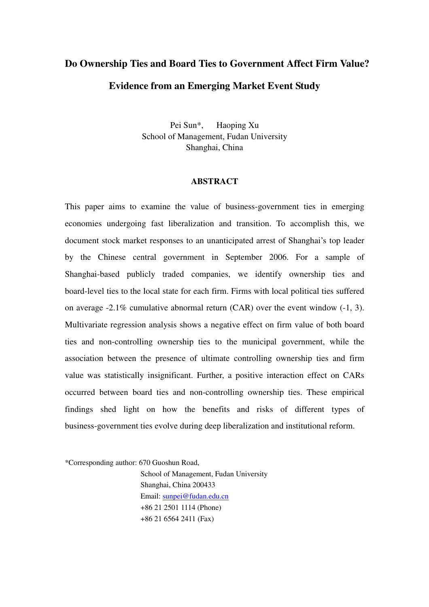# **Do Ownership Ties and Board Ties to Government Affect Firm Value? Evidence from an Emerging Market Event Study**

Pei Sun\*, Haoping Xu School of Management, Fudan University Shanghai, China

#### **ABSTRACT**

This paper aims to examine the value of business-government ties in emerging economies undergoing fast liberalization and transition. To accomplish this, we document stock market responses to an unanticipated arrest of Shanghai's top leader by the Chinese central government in September 2006. For a sample of Shanghai-based publicly traded companies, we identify ownership ties and board-level ties to the local state for each firm. Firms with local political ties suffered on average -2.1% cumulative abnormal return (CAR) over the event window (-1, 3). Multivariate regression analysis shows a negative effect on firm value of both board ties and non-controlling ownership ties to the municipal government, while the association between the presence of ultimate controlling ownership ties and firm value was statistically insignificant. Further, a positive interaction effect on CARs occurred between board ties and non-controlling ownership ties. These empirical findings shed light on how the benefits and risks of different types of business-government ties evolve during deep liberalization and institutional reform.

\*Corresponding author: 670 Guoshun Road,

School of Management, Fudan University Shanghai, China 200433 Email: sunpei@fudan.edu.cn +86 21 2501 1114 (Phone) +86 21 6564 2411 (Fax)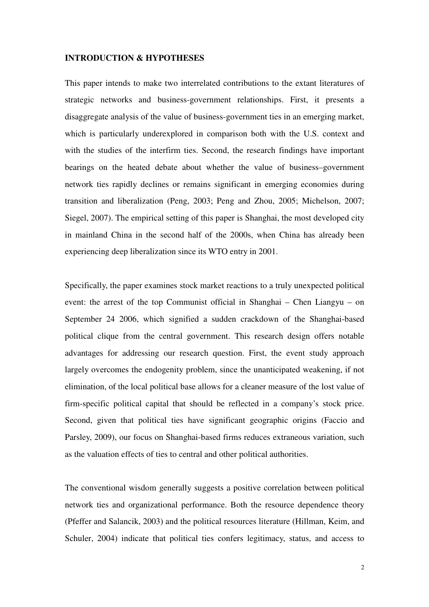### **INTRODUCTION & HYPOTHESES**

This paper intends to make two interrelated contributions to the extant literatures of strategic networks and business-government relationships. First, it presents a disaggregate analysis of the value of business-government ties in an emerging market, which is particularly underexplored in comparison both with the U.S. context and with the studies of the interfirm ties. Second, the research findings have important bearings on the heated debate about whether the value of business–government network ties rapidly declines or remains significant in emerging economies during transition and liberalization (Peng, 2003; Peng and Zhou, 2005; Michelson, 2007; Siegel, 2007). The empirical setting of this paper is Shanghai, the most developed city in mainland China in the second half of the 2000s, when China has already been experiencing deep liberalization since its WTO entry in 2001.

Specifically, the paper examines stock market reactions to a truly unexpected political event: the arrest of the top Communist official in Shanghai – Chen Liangyu – on September 24 2006, which signified a sudden crackdown of the Shanghai-based political clique from the central government. This research design offers notable advantages for addressing our research question. First, the event study approach largely overcomes the endogenity problem, since the unanticipated weakening, if not elimination, of the local political base allows for a cleaner measure of the lost value of firm-specific political capital that should be reflected in a company's stock price. Second, given that political ties have significant geographic origins (Faccio and Parsley, 2009), our focus on Shanghai-based firms reduces extraneous variation, such as the valuation effects of ties to central and other political authorities.

The conventional wisdom generally suggests a positive correlation between political network ties and organizational performance. Both the resource dependence theory (Pfeffer and Salancik, 2003) and the political resources literature (Hillman, Keim, and Schuler, 2004) indicate that political ties confers legitimacy, status, and access to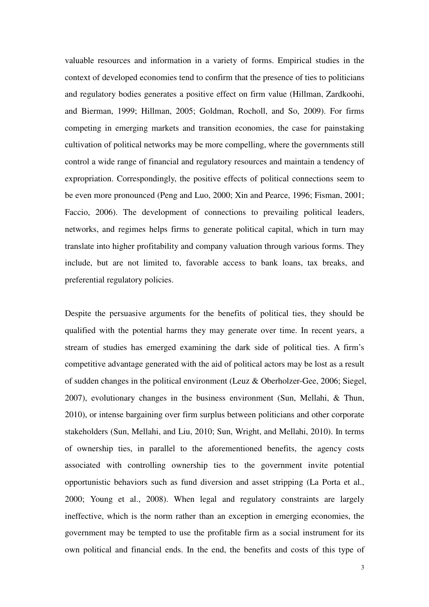valuable resources and information in a variety of forms. Empirical studies in the context of developed economies tend to confirm that the presence of ties to politicians and regulatory bodies generates a positive effect on firm value (Hillman, Zardkoohi, and Bierman, 1999; Hillman, 2005; Goldman, Rocholl, and So, 2009). For firms competing in emerging markets and transition economies, the case for painstaking cultivation of political networks may be more compelling, where the governments still control a wide range of financial and regulatory resources and maintain a tendency of expropriation. Correspondingly, the positive effects of political connections seem to be even more pronounced (Peng and Luo, 2000; Xin and Pearce, 1996; Fisman, 2001; Faccio, 2006). The development of connections to prevailing political leaders, networks, and regimes helps firms to generate political capital, which in turn may translate into higher profitability and company valuation through various forms. They include, but are not limited to, favorable access to bank loans, tax breaks, and preferential regulatory policies.

Despite the persuasive arguments for the benefits of political ties, they should be qualified with the potential harms they may generate over time. In recent years, a stream of studies has emerged examining the dark side of political ties. A firm's competitive advantage generated with the aid of political actors may be lost as a result of sudden changes in the political environment (Leuz & Oberholzer-Gee, 2006; Siegel, 2007), evolutionary changes in the business environment (Sun, Mellahi, & Thun, 2010), or intense bargaining over firm surplus between politicians and other corporate stakeholders (Sun, Mellahi, and Liu, 2010; Sun, Wright, and Mellahi, 2010). In terms of ownership ties, in parallel to the aforementioned benefits, the agency costs associated with controlling ownership ties to the government invite potential opportunistic behaviors such as fund diversion and asset stripping (La Porta et al., 2000; Young et al., 2008). When legal and regulatory constraints are largely ineffective, which is the norm rather than an exception in emerging economies, the government may be tempted to use the profitable firm as a social instrument for its own political and financial ends. In the end, the benefits and costs of this type of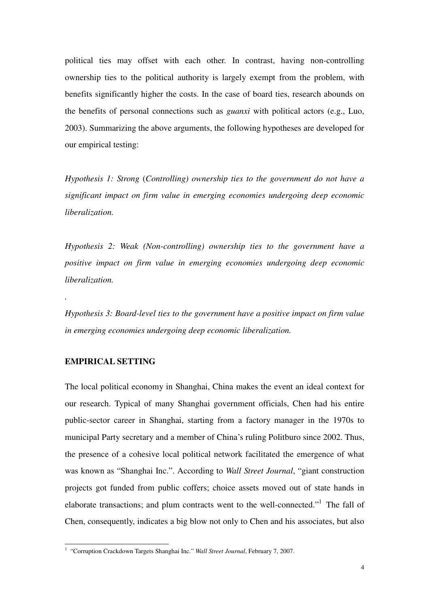political ties may offset with each other. In contrast, having non-controlling ownership ties to the political authority is largely exempt from the problem, with benefits significantly higher the costs. In the case of board ties, research abounds on the benefits of personal connections such as *guanxi* with political actors (e.g., Luo, 2003). Summarizing the above arguments, the following hypotheses are developed for our empirical testing:

*Hypothesis 1: Strong* (*Controlling) ownership ties to the government do not have a significant impact on firm value in emerging economies undergoing deep economic liberalization.* 

*Hypothesis 2: Weak (Non-controlling) ownership ties to the government have a positive impact on firm value in emerging economies undergoing deep economic liberalization.* 

*Hypothesis 3: Board-level ties to the government have a positive impact on firm value in emerging economies undergoing deep economic liberalization.* 

## **EMPIRICAL SETTING**

*.* 

The local political economy in Shanghai, China makes the event an ideal context for our research. Typical of many Shanghai government officials, Chen had his entire public-sector career in Shanghai, starting from a factory manager in the 1970s to municipal Party secretary and a member of China's ruling Politburo since 2002. Thus, the presence of a cohesive local political network facilitated the emergence of what was known as "Shanghai Inc.". According to *Wall Street Journal*, "giant construction projects got funded from public coffers; choice assets moved out of state hands in elaborate transactions; and plum contracts went to the well-connected."<sup>1</sup> The fall of Chen, consequently, indicates a big blow not only to Chen and his associates, but also

 1 "Corruption Crackdown Targets Shanghai Inc." *Wall Street Journal*, February 7, 2007.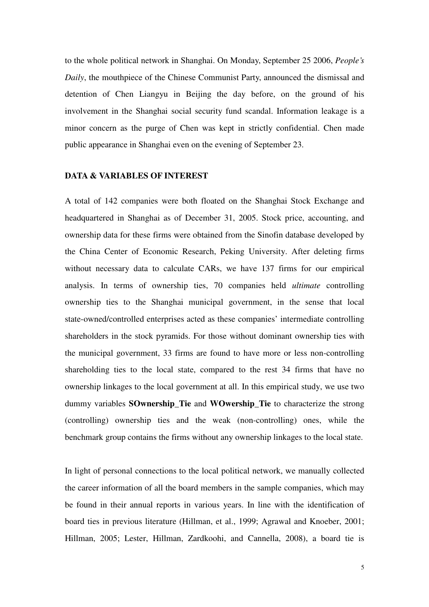to the whole political network in Shanghai. On Monday, September 25 2006, *People's Daily*, the mouthpiece of the Chinese Communist Party, announced the dismissal and detention of Chen Liangyu in Beijing the day before, on the ground of his involvement in the Shanghai social security fund scandal. Information leakage is a minor concern as the purge of Chen was kept in strictly confidential. Chen made public appearance in Shanghai even on the evening of September 23.

#### **DATA & VARIABLES OF INTEREST**

A total of 142 companies were both floated on the Shanghai Stock Exchange and headquartered in Shanghai as of December 31, 2005. Stock price, accounting, and ownership data for these firms were obtained from the Sinofin database developed by the China Center of Economic Research, Peking University. After deleting firms without necessary data to calculate CARs, we have 137 firms for our empirical analysis. In terms of ownership ties, 70 companies held *ultimate* controlling ownership ties to the Shanghai municipal government, in the sense that local state-owned/controlled enterprises acted as these companies' intermediate controlling shareholders in the stock pyramids. For those without dominant ownership ties with the municipal government, 33 firms are found to have more or less non-controlling shareholding ties to the local state, compared to the rest 34 firms that have no ownership linkages to the local government at all. In this empirical study, we use two dummy variables **SOwnership\_Tie** and **WOwership\_Tie** to characterize the strong (controlling) ownership ties and the weak (non-controlling) ones, while the benchmark group contains the firms without any ownership linkages to the local state.

In light of personal connections to the local political network, we manually collected the career information of all the board members in the sample companies, which may be found in their annual reports in various years. In line with the identification of board ties in previous literature (Hillman, et al., 1999; Agrawal and Knoeber, 2001; Hillman, 2005; Lester, Hillman, Zardkoohi, and Cannella, 2008), a board tie is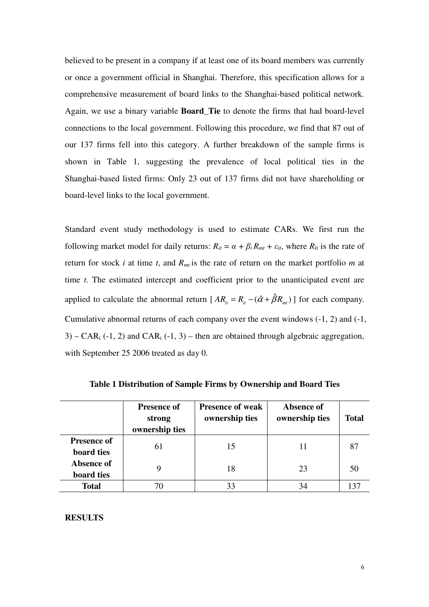believed to be present in a company if at least one of its board members was currently or once a government official in Shanghai. Therefore, this specification allows for a comprehensive measurement of board links to the Shanghai-based political network. Again, we use a binary variable **Board\_Tie** to denote the firms that had board-level connections to the local government. Following this procedure, we find that 87 out of our 137 firms fell into this category. A further breakdown of the sample firms is shown in Table 1, suggesting the prevalence of local political ties in the Shanghai-based listed firms: Only 23 out of 137 firms did not have shareholding or board-level links to the local government.

Standard event study methodology is used to estimate CARs. We first run the following market model for daily returns:  $R_{it} = \alpha + \beta_i R_{mt} + \varepsilon_{it}$ , where  $R_{it}$  is the rate of return for stock *i* at time *t*, and *Rmt* is the rate of return on the market portfolio *m* at time *t*. The estimated intercept and coefficient prior to the unanticipated event are applied to calculate the abnormal return  $[A R_{i} = R_{i} - (\hat{\alpha} + \hat{\beta} R_{m})]$  for each company. Cumulative abnormal returns of each company over the event windows (-1, 2) and (-1,  $3)$  – CAR<sub>i</sub> (-1, 2) and CAR<sub>i</sub> (-1, 3) – then are obtained through algebraic aggregation, with September 25 2006 treated as day 0.

|                                  | <b>Presence of</b><br>strong<br>ownership ties | <b>Presence of weak</b><br>ownership ties | Absence of<br>ownership ties | <b>Total</b> |
|----------------------------------|------------------------------------------------|-------------------------------------------|------------------------------|--------------|
| <b>Presence of</b><br>board ties | 61                                             | 15                                        |                              | 81           |
| Absence of<br>board ties         |                                                | 18                                        | 23                           | 50           |
| <b>Total</b>                     |                                                |                                           |                              |              |

**Table 1 Distribution of Sample Firms by Ownership and Board Ties** 

## **RESULTS**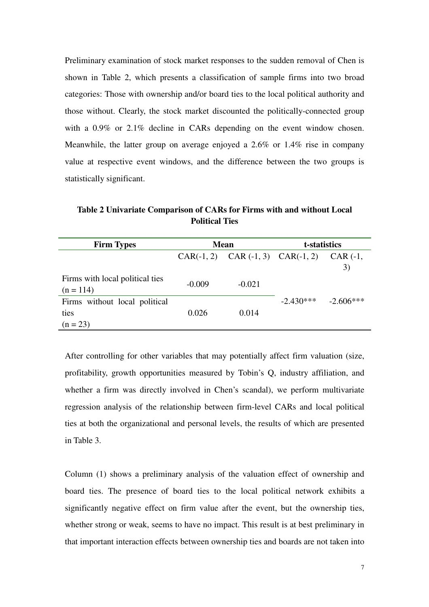Preliminary examination of stock market responses to the sudden removal of Chen is shown in Table 2, which presents a classification of sample firms into two broad categories: Those with ownership and/or board ties to the local political authority and those without. Clearly, the stock market discounted the politically-connected group with a 0.9% or 2.1% decline in CARs depending on the event window chosen. Meanwhile, the latter group on average enjoyed a 2.6% or 1.4% rise in company value at respective event windows, and the difference between the two groups is statistically significant.

**Table 2 Univariate Comparison of CARs for Firms with and without Local Political Ties** 

| <b>Firm Types</b>                                   | <b>Mean</b> |                                           | t-statistics |                    |
|-----------------------------------------------------|-------------|-------------------------------------------|--------------|--------------------|
|                                                     |             | CAR $(-1, 2)$ CAR $(-1, 3)$ CAR $(-1, 2)$ |              | $CAR$ $(-1,$<br>3) |
| Firms with local political ties<br>$(n = 114)$      | $-0.009$    | $-0.021$                                  |              |                    |
| Firms without local political<br>ties<br>$(n = 23)$ | 0.026       | 0.014                                     | $-2.430***$  | $-2.606***$        |

After controlling for other variables that may potentially affect firm valuation (size, profitability, growth opportunities measured by Tobin's Q, industry affiliation, and whether a firm was directly involved in Chen's scandal), we perform multivariate regression analysis of the relationship between firm-level CARs and local political ties at both the organizational and personal levels, the results of which are presented in Table 3.

Column (1) shows a preliminary analysis of the valuation effect of ownership and board ties. The presence of board ties to the local political network exhibits a significantly negative effect on firm value after the event, but the ownership ties, whether strong or weak, seems to have no impact. This result is at best preliminary in that important interaction effects between ownership ties and boards are not taken into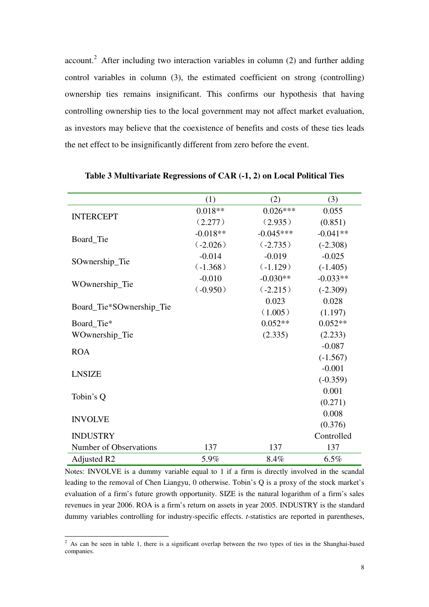account.<sup>2</sup> After including two interaction variables in column  $(2)$  and further adding control variables in column (3), the estimated coefficient on strong (controlling) ownership ties remains insignificant. This confirms our hypothesis that having controlling ownership ties to the local government may not affect market evaluation, as investors may believe that the coexistence of benefits and costs of these ties leads the net effect to be insignificantly different from zero before the event.

|                          | (1)        | (2)         | (3)        |
|--------------------------|------------|-------------|------------|
| <b>INTERCEPT</b>         | $0.018**$  | $0.026***$  | 0.055      |
|                          | (2.277)    | (2.935)     | (0.851)    |
|                          | $-0.018**$ | $-0.045***$ | $-0.041**$ |
| Board_Tie                | (.2.026)   | $(-2.735)$  | $(-2.308)$ |
|                          | $-0.014$   | $-0.019$    | $-0.025$   |
| SOwnership_Tie           | $(-1.368)$ | $(-1.129)$  | $(-1.405)$ |
|                          | $-0.010$   | $-0.030**$  | $-0.033**$ |
| WOwnership_Tie           | (.0.950)   | $(-2.215)$  | $(-2.309)$ |
|                          |            | 0.023       | 0.028      |
| Board_Tie*SOwnership_Tie |            | (1.005)     | (1.197)    |
| Board_Tie*               |            | $0.052**$   | $0.052**$  |
| WOwnership_Tie           |            | (2.335)     | (2.233)    |
| <b>ROA</b>               |            |             | $-0.087$   |
|                          |            |             | $(-1.567)$ |
| <b>LNSIZE</b>            |            |             | $-0.001$   |
|                          |            |             | $(-0.359)$ |
|                          |            |             | 0.001      |
| Tobin's Q                |            |             | (0.271)    |
|                          |            |             | 0.008      |
| <b>INVOLVE</b>           |            |             | (0.376)    |
| <b>INDUSTRY</b>          |            |             | Controlled |
| Number of Observations   | 137        | 137         | 137        |
| Adjusted R2              | 5.9%       | 8.4%        | 6.5%       |

**Table 3 Multivariate Regressions of CAR (-1, 2) on Local Political Ties** 

Notes: INVOLVE is a dummy variable equal to 1 if a firm is directly involved in the scandal leading to the removal of Chen Liangyu, 0 otherwise. Tobin's Q is a proxy of the stock market's evaluation of a firm's future growth opportunity. SIZE is the natural logarithm of a firm's sales revenues in year 2006. ROA is a firm's return on assets in year 2005. INDUSTRY is the standard dummy variables controlling for industry-specific effects. *t*-statistics are reported in parentheses,

<sup>&</sup>lt;sup>2</sup> As can be seen in table 1, there is a significant overlap between the two types of ties in the Shanghai-based companies.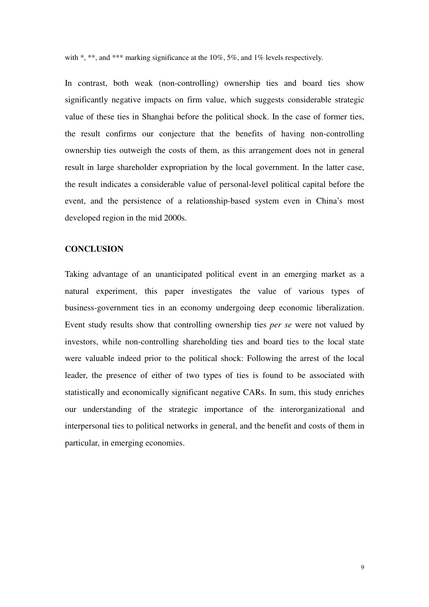with \*, \*\*, and \*\*\* marking significance at the 10%, 5%, and 1% levels respectively.

In contrast, both weak (non-controlling) ownership ties and board ties show significantly negative impacts on firm value, which suggests considerable strategic value of these ties in Shanghai before the political shock. In the case of former ties, the result confirms our conjecture that the benefits of having non-controlling ownership ties outweigh the costs of them, as this arrangement does not in general result in large shareholder expropriation by the local government. In the latter case, the result indicates a considerable value of personal-level political capital before the event, and the persistence of a relationship-based system even in China's most developed region in the mid 2000s.

# **CONCLUSION**

Taking advantage of an unanticipated political event in an emerging market as a natural experiment, this paper investigates the value of various types of business-government ties in an economy undergoing deep economic liberalization. Event study results show that controlling ownership ties *per se* were not valued by investors, while non-controlling shareholding ties and board ties to the local state were valuable indeed prior to the political shock: Following the arrest of the local leader, the presence of either of two types of ties is found to be associated with statistically and economically significant negative CARs. In sum, this study enriches our understanding of the strategic importance of the interorganizational and interpersonal ties to political networks in general, and the benefit and costs of them in particular, in emerging economies.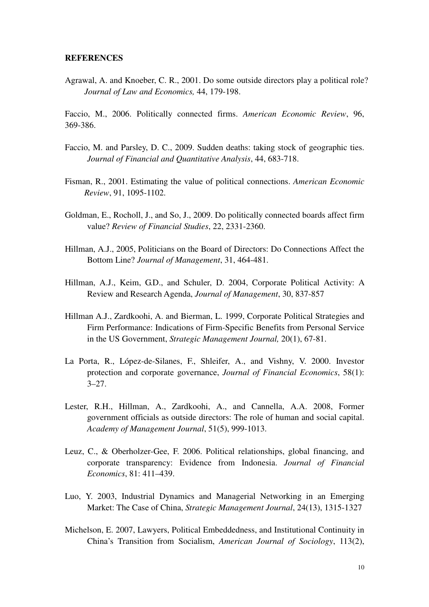#### **REFERENCES**

Agrawal, A. and Knoeber, C. R., 2001. Do some outside directors play a political role? *Journal of Law and Economics,* 44, 179-198.

Faccio, M., 2006. Politically connected firms. *American Economic Review*, 96, 369-386.

- Faccio, M. and Parsley, D. C., 2009. Sudden deaths: taking stock of geographic ties. *Journal of Financial and Quantitative Analysis*, 44, 683-718.
- Fisman, R., 2001. Estimating the value of political connections. *American Economic Review*, 91, 1095-1102.
- Goldman, E., Rocholl, J., and So, J., 2009. Do politically connected boards affect firm value? *Review of Financial Studies*, 22, 2331-2360.
- Hillman, A.J., 2005, Politicians on the Board of Directors: Do Connections Affect the Bottom Line? *Journal of Management*, 31, 464-481.
- Hillman, A.J., Keim, G.D., and Schuler, D. 2004, Corporate Political Activity: A Review and Research Agenda, *Journal of Management*, 30, 837-857
- Hillman A.J., Zardkoohi, A. and Bierman, L. 1999, Corporate Political Strategies and Firm Performance: Indications of Firm-Specific Benefits from Personal Service in the US Government, *Strategic Management Journal,* 20(1), 67-81.
- La Porta, R., López-de-Silanes, F., Shleifer, A., and Vishny, V. 2000. Investor protection and corporate governance, *Journal of Financial Economics*, 58(1):  $3 - 27$ .
- Lester, R.H., Hillman, A., Zardkoohi, A., and Cannella, A.A. 2008, Former government officials as outside directors: The role of human and social capital. *Academy of Management Journal*, 51(5), 999-1013.
- Leuz, C., & Oberholzer-Gee, F. 2006. Political relationships, global financing, and corporate transparency: Evidence from Indonesia. *Journal of Financial Economics*, 81: 411–439.
- Luo, Y. 2003, Industrial Dynamics and Managerial Networking in an Emerging Market: The Case of China, *Strategic Management Journal*, 24(13), 1315-1327
- Michelson, E. 2007, Lawyers, Political Embeddedness, and Institutional Continuity in China's Transition from Socialism, *American Journal of Sociology*, 113(2),